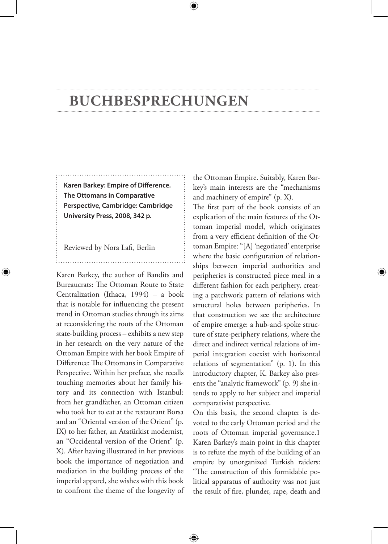## **Buchbesprechungen**

**Karen Barkey: Empire of Difference. The Ottomans in Comparative Perspective, Cambridge: Cambridge University Press, 2008, 342 p.**

Reviewed by Nora Lafi, Berlin

◈

Karen Barkey, the author of Bandits and Bureaucrats: The Ottoman Route to State Centralization (Ithaca, 1994) – a book that is notable for influencing the present trend in Ottoman studies through its aims at reconsidering the roots of the Ottoman state-building process – exhibits a new step in her research on the very nature of the Ottoman Empire with her book Empire of Difference: The Ottomans in Comparative Perspective. Within her preface, she recalls touching memories about her family history and its connection with Istanbul: from her grandfather, an Ottoman citizen who took her to eat at the restaurant Borsa and an "Oriental version of the Orient" (p. IX) to her father, an Atatürkist modernist, an "Occidental version of the Orient" (p. X). After having illustrated in her previous book the importance of negotiation and mediation in the building process of the imperial apparel, she wishes with this book to confront the theme of the longevity of

the Ottoman Empire. Suitably, Karen Barkey's main interests are the "mechanisms and machinery of empire" (p. X).

The first part of the book consists of an explication of the main features of the Ottoman imperial model, which originates from a very efficient definition of the Ottoman Empire: "[A] 'negotiated' enterprise where the basic configuration of relationships between imperial authorities and peripheries is constructed piece meal in a different fashion for each periphery, creating a patchwork pattern of relations with structural holes between peripheries. In that construction we see the architecture of empire emerge: a hub-and-spoke structure of state-periphery relations, where the direct and indirect vertical relations of imperial integration coexist with horizontal relations of segmentation" (p. 1). In this introductory chapter, K. Barkey also presents the "analytic framework" (p. 9) she intends to apply to her subject and imperial comparativist perspective.

On this basis, the second chapter is devoted to the early Ottoman period and the roots of Ottoman imperial governance.1 Karen Barkey's main point in this chapter is to refute the myth of the building of an empire by unorganized Turkish raiders: "The construction of this formidable political apparatus of authority was not just the result of fire, plunder, rape, death and

⊕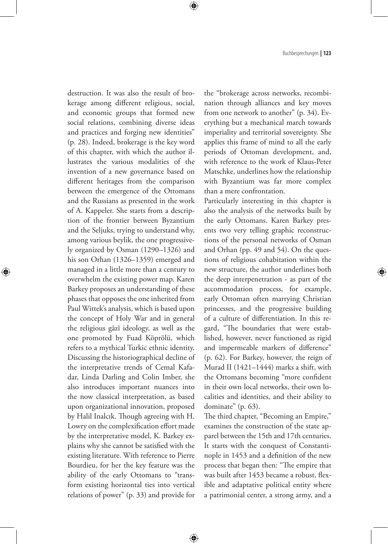Buchbesprechungen **| 123**

destruction. It was also the result of brokerage among different religious, social, and economic groups that formed new social relations, combining diverse ideas and practices and forging new identities" (p. 28). Indeed, brokerage is the key word of this chapter, with which the author illustrates the various modalities of the invention of a new governance based on different heritages from the comparison between the emergence of the Ottomans and the Russians as presented in the work of A. Kappeler. She starts from a description of the frontier between Byzantium and the Seljuks, trying to understand why, among various beylik, the one progressively organized by Osman (1290–1326) and his son Orhan (1326–1359) emerged and managed in a little more than a century to overwhelm the existing power map. Karen Barkey proposes an understanding of these phases that opposes the one inherited from Paul Wittek's analysis, which is based upon the concept of Holy War and in general the religious gâzî ideology, as well as the one promoted by Fuad Köprölü, which refers to a mythical Turkic ethnic identity. Discussing the historiographical decline of the interpretative trends of Cemal Kafadar, Linda Darling and Colin Imber, she also introduces important nuances into the now classical interpretation, as based upon organizational innovation, proposed by Halil Inalcık. Though agreeing with H. Lowry on the complexification effort made by the interpretative model, K. Barkey explains why she cannot be satisfied with the existing literature. With reference to Pierre Bourdieu, for her the key feature was the ability of the early Ottomans to "transform existing horizontal ties into vertical relations of power" (p. 33) and provide for

◈

the "brokerage across networks, recombination through alliances and key moves from one network to another" (p. 34). Everything but a mechanical march towards imperiality and territorial sovereignty. She applies this frame of mind to all the early periods of Ottoman development, and, with reference to the work of Klaus-Peter Matschke, underlines how the relationship with Byzantium was far more complex than a mere confrontation.

Particularly interesting in this chapter is also the analysis of the networks built by the early Ottomans. Karen Barkey presents two very telling graphic reconstructions of the personal networks of Osman and Orhan (pp. 49 and 54). On the questions of religious cohabitation within the new structure, the author underlines both the deep interpenetration - as part of the accommodation process, for example, early Ottoman often marrying Christian princesses, and the progressive building of a culture of differentiation. In this regard, "The boundaries that were established, however, never functioned as rigid and impermeable markers of difference" (p. 62). For Barkey, however, the reign of Murad II (1421–1444) marks a shift, with the Ottomans becoming "more confident in their own local networks, their own localities and identities, and their ability to dominate" (p. 63).

The third chapter, "Becoming an Empire," examines the construction of the state apparel between the 15th and 17th centuries. It starts with the conquest of Constantinople in 1453 and a definition of the new process that began then: "The empire that was built after 1453 became a robust, flexible and adaptative political entity where a patrimonial center, a strong army, and a

⊕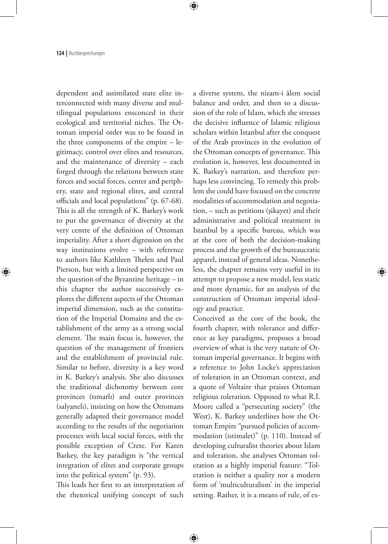**124 |** Buchbesprechungen

dependent and assimilated state elite interconnected with many diverse and multilingual populations ensconced in their ecological and territorial niches. The Ottoman imperial order was to be found in the three components of the empire – legitimacy, control over elites and resources, and the maintenance of diversity – each forged through the relations between state forces and social forces, center and periphery, state and regional elites, and central officials and local populations" (p. 67-68). This is all the strength of K. Barkey's work to put the governance of diversity at the very centre of the definition of Ottoman imperiality. After a short digression on the way institutions evolve – with reference to authors like Kathleen Thelen and Paul Pierson, but with a limited perspective on the question of the Byzantine heritage – in this chapter the author successively explores the different aspects of the Ottoman imperial dimension, such as the constitution of the Imperial Domains and the establishment of the army as a strong social element. The main focus is, however, the question of the management of frontiers and the establishment of provincial rule. Similar to before, diversity is a key word in K. Barkey's analysis. She also discusses the traditional dichotomy between core provinces (tımarlı) and outer provinces (salyanelı), insisting on how the Ottomans generally adapted their governance model according to the results of the negotiation processes with local social forces, with the possible exception of Crete. For Karen Barkey, the key paradigm is "the vertical integration of elites and corporate groups into the political system" (p. 93).

◈

This leads her first to an interpretation of the rhetorical unifying concept of such

⊕

a diverse system, the nizam-i âlem social balance and order, and then to a discussion of the role of Islam, which she stresses the decisive influence of Islamic religious scholars within Istanbul after the conquest of the Arab provinces in the evolution of the Ottoman concepts of governance. This evolution is, however, less documented in K. Barkey's narration, and therefore perhaps less convincing. To remedy this problem she could have focused on the concrete modalities of accommodation and negotiation, – such as petitions (şikayet) and their administrative and political treatment in Istanbul by a specific bureau, which was at the core of both the decision-making process and the growth of the bureaucratic apparel, instead of general ideas. Nonetheless, the chapter remains very useful in its attempt to propose a new model, less static and more dynamic, for an analysis of the construction of Ottoman imperial ideology and practice.

Conceived as the core of the book, the fourth chapter, with tolerance and difference as key paradigms, proposes a broad overview of what is the very nature of Ottoman imperial governance. It begins with a reference to John Locke's appreciation of toleration in an Ottoman context, and a quote of Voltaire that praises Ottoman religious toleration. Opposed to what R.I. Moore called a "persecuting society" (the West), K. Barkey underlines how the Ottoman Empire "pursued policies of accommodation (istimalet)" (p. 110). Instead of developing culturalist theories about Islam and toleration, she analyses Ottoman toleration as a highly imperial feature: "Toleration is neither a quality nor a modern form of 'multiculturalism' in the imperial setting. Rather, it is a means of rule, of ex-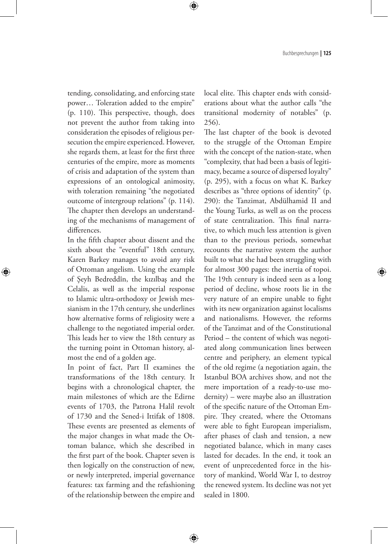Buchbesprechungen **| 125**

tending, consolidating, and enforcing state power… Toleration added to the empire" (p. 110). This perspective, though, does not prevent the author from taking into consideration the episodes of religious persecution the empire experienced. However, she regards them, at least for the first three centuries of the empire, more as moments of crisis and adaptation of the system than expressions of an ontological animosity, with toleration remaining "the negotiated outcome of intergroup relations" (p. 114). The chapter then develops an understanding of the mechanisms of management of differences.

In the fifth chapter about dissent and the sixth about the "eventful" 18th century, Karen Barkey manages to avoid any risk of Ottoman angelism. Using the example of Şeyh Bedreddîn, the kızılbaş and the Celalis, as well as the imperial response to Islamic ultra-orthodoxy or Jewish messianism in the 17th century, she underlines how alternative forms of religiosity were a challenge to the negotiated imperial order. This leads her to view the 18th century as the turning point in Ottoman history, almost the end of a golden age.

◈

In point of fact, Part II examines the transformations of the 18th century. It begins with a chronological chapter, the main milestones of which are the Edirne events of 1703, the Patrona Halil revolt of 1730 and the Sened-i Ittifak of 1808. These events are presented as elements of the major changes in what made the Ottoman balance, which she described in the first part of the book. Chapter seven is then logically on the construction of new, or newly interpreted, imperial governance features: tax farming and the refashioning of the relationship between the empire and

⊕

local elite. This chapter ends with considerations about what the author calls "the transitional modernity of notables" (p. 256).

The last chapter of the book is devoted to the struggle of the Ottoman Empire with the concept of the nation-state, when "complexity, that had been a basis of legitimacy, became a source of dispersed loyalty" (p. 295), with a focus on what K. Barkey describes as "three options of identity" (p. 290): the Tanzimat, Abdülhamid II and the Young Turks, as well as on the process of state centralization. This final narrative, to which much less attention is given than to the previous periods, somewhat recounts the narrative system the author built to what she had been struggling with for almost 300 pages: the inertia of topoi. The 19th century is indeed seen as a long period of decline, whose roots lie in the very nature of an empire unable to fight with its new organization against localisms and nationalisms. However, the reforms of the Tanzimat and of the Constitutional Period – the content of which was negotiated along communication lines between centre and periphery, an element typical of the old regime (a negotiation again, the Istanbul BOA archives show, and not the mere importation of a ready-to-use modernity) – were maybe also an illustration of the specific nature of the Ottoman Empire. They created, where the Ottomans were able to fight European imperialism, after phases of clash and tension, a new negotiated balance, which in many cases lasted for decades. In the end, it took an event of unprecedented force in the history of mankind, World War I, to destroy the renewed system. Its decline was not yet sealed in 1800.